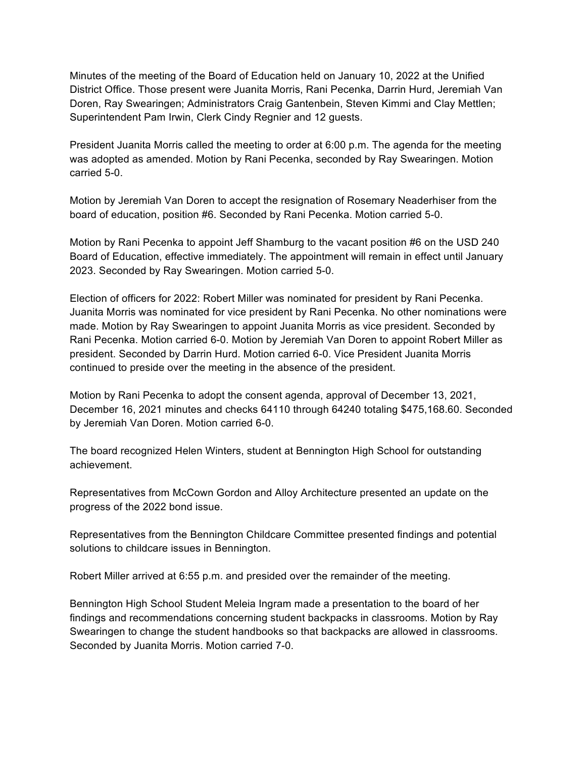Minutes of the meeting of the Board of Education held on January 10, 2022 at the Unified District Office. Those present were Juanita Morris, Rani Pecenka, Darrin Hurd, Jeremiah Van Doren, Ray Swearingen; Administrators Craig Gantenbein, Steven Kimmi and Clay Mettlen; Superintendent Pam Irwin, Clerk Cindy Regnier and 12 guests.

President Juanita Morris called the meeting to order at 6:00 p.m. The agenda for the meeting was adopted as amended. Motion by Rani Pecenka, seconded by Ray Swearingen. Motion carried 5-0.

Motion by Jeremiah Van Doren to accept the resignation of Rosemary Neaderhiser from the board of education, position #6. Seconded by Rani Pecenka. Motion carried 5-0.

Motion by Rani Pecenka to appoint Jeff Shamburg to the vacant position #6 on the USD 240 Board of Education, effective immediately. The appointment will remain in effect until January 2023. Seconded by Ray Swearingen. Motion carried 5-0.

Election of officers for 2022: Robert Miller was nominated for president by Rani Pecenka. Juanita Morris was nominated for vice president by Rani Pecenka. No other nominations were made. Motion by Ray Swearingen to appoint Juanita Morris as vice president. Seconded by Rani Pecenka. Motion carried 6-0. Motion by Jeremiah Van Doren to appoint Robert Miller as president. Seconded by Darrin Hurd. Motion carried 6-0. Vice President Juanita Morris continued to preside over the meeting in the absence of the president.

Motion by Rani Pecenka to adopt the consent agenda, approval of December 13, 2021, December 16, 2021 minutes and checks 64110 through 64240 totaling \$475,168.60. Seconded by Jeremiah Van Doren. Motion carried 6-0.

The board recognized Helen Winters, student at Bennington High School for outstanding achievement.

Representatives from McCown Gordon and Alloy Architecture presented an update on the progress of the 2022 bond issue.

Representatives from the Bennington Childcare Committee presented findings and potential solutions to childcare issues in Bennington.

Robert Miller arrived at 6:55 p.m. and presided over the remainder of the meeting.

Bennington High School Student Meleia Ingram made a presentation to the board of her findings and recommendations concerning student backpacks in classrooms. Motion by Ray Swearingen to change the student handbooks so that backpacks are allowed in classrooms. Seconded by Juanita Morris. Motion carried 7-0.